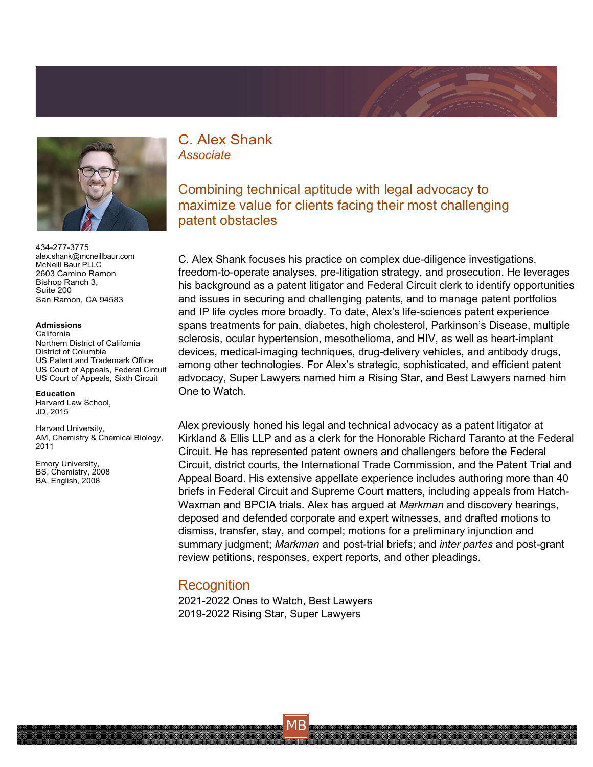



434-277-3775 [alex.shank@mcneillbaur.com](mailto:alex.shank@mcneillbaur.com) McNeill Baur PLLC 2603 Camino Ramon Bishop Ranch 3, Suite 200 San Ramon, CA 94583

## **Admissions**

California Northern District of California District of Columbia US Patent and Trademark Office US Court of Appeals, Federal Circuit US Court of Appeals, Sixth Circuit

## **Education**

Harvard Law School, JD, 2015

Harvard University, AM, Chemistry & Chemical Biology, 2011

Emory University, BS, Chemistry, 2008 BA, English, 2008

C. Alex Shank *Associate*

Combining technical aptitude with legal advocacy to maximize value for clients facing their most challenging patent obstacles

C. Alex Shank focuses his practice on complex due-diligence investigations, freedom-to-operate analyses, pre-litigation strategy, and prosecution. He leverages his background as a patent litigator and Federal Circuit clerk to identify opportunities and issues in securing and challenging patents, and to manage patent portfolios and IP life cycles more broadly. To date, Alex's life-sciences patent experience spans treatments for pain, diabetes, high cholesterol, Parkinson's Disease, multiple sclerosis, ocular hypertension, mesothelioma, and HIV, as well as heart-implant devices, medical-imaging techniques, drug-delivery vehicles, and antibody drugs, among other technologies. For Alex's strategic, sophisticated, and efficient patent advocacy, Super Lawyers named him a Rising Star, and Best Lawyers named him One to Watch.

Alex previously honed his legal and technical advocacy as a patent litigator at Kirkland & Ellis LLP and as a clerk for the Honorable Richard Taranto at the Federal Circuit. He has represented patent owners and challengers before the Federal Circuit, district courts, the International Trade Commission, and the Patent Trial and Appeal Board. His extensive appellate experience includes authoring more than 40 briefs in Federal Circuit and Supreme Court matters, including appeals from Hatch-Waxman and BPCIA trials. Alex has argued at *Markman* and discovery hearings, deposed and defended corporate and expert witnesses, and drafted motions to dismiss, transfer, stay, and compel; motions for a preliminary injunction and summary judgment; *Markman* and post-trial briefs; and *inter partes* and post-grant review petitions, responses, expert reports, and other pleadings.

## **Recognition**

2021-2022 Ones to Watch, Best Lawyers 2019-2022 Rising Star, Super Lawyers